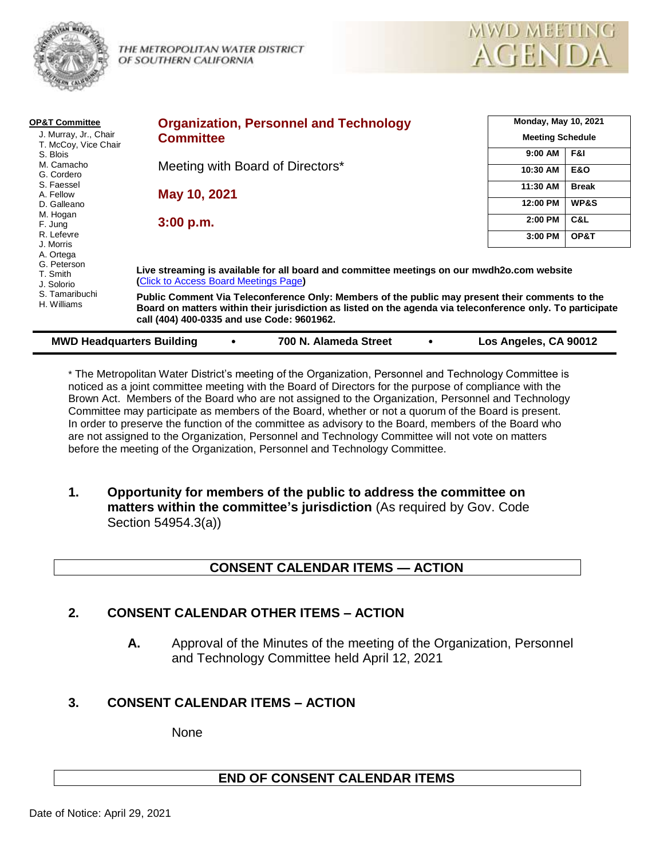

THE METROPOLITAN WATER DISTRICT OF SOUTHERN CALIFORNIA



| <b>OP&amp;T Committee</b><br>J. Murray, Jr., Chair                                 | <b>Organization, Personnel and Technology</b>                                                                                                                                                                                                               |                         | <b>Monday, May 10, 2021</b> |  |
|------------------------------------------------------------------------------------|-------------------------------------------------------------------------------------------------------------------------------------------------------------------------------------------------------------------------------------------------------------|-------------------------|-----------------------------|--|
| T. McCoy, Vice Chair                                                               | <b>Committee</b>                                                                                                                                                                                                                                            | <b>Meeting Schedule</b> |                             |  |
| S. Blois                                                                           |                                                                                                                                                                                                                                                             | 9:00 AM                 | F&I                         |  |
| M. Camacho<br>G. Cordero                                                           | Meeting with Board of Directors*                                                                                                                                                                                                                            | 10:30 AM                | <b>E&amp;O</b>              |  |
| S. Faessel                                                                         | May 10, 2021                                                                                                                                                                                                                                                | 11:30 AM                | <b>Break</b>                |  |
| A. Fellow<br>D. Galleano                                                           |                                                                                                                                                                                                                                                             | 12:00 PM                | WP&S                        |  |
| M. Hogan<br>F. Jung                                                                | 3:00 p.m.                                                                                                                                                                                                                                                   | 2:00 PM                 | C&L                         |  |
| R. Lefevre                                                                         |                                                                                                                                                                                                                                                             | 3:00 PM                 | OP&T                        |  |
| J. Morris<br>A. Ortega                                                             |                                                                                                                                                                                                                                                             |                         |                             |  |
| G. Peterson<br>T. Smith<br>J. Solorio<br>S. Tamaribuchi<br>H. Williams             | Live streaming is available for all board and committee meetings on our mwdh2o.com website<br>(Click to Access Board Meetings Page)                                                                                                                         |                         |                             |  |
|                                                                                    | Public Comment Via Teleconference Only: Members of the public may present their comments to the<br>Board on matters within their jurisdiction as listed on the agenda via teleconference only. To participate<br>call (404) 400-0335 and use Code: 9601962. |                         |                             |  |
| 700 N. Alameda Street<br>Los Angeles, CA 90012<br><b>MWD Headquarters Building</b> |                                                                                                                                                                                                                                                             |                         |                             |  |

\* The Metropolitan Water District's meeting of the Organization, Personnel and Technology Committee is noticed as a joint committee meeting with the Board of Directors for the purpose of compliance with the Brown Act. Members of the Board who are not assigned to the Organization, Personnel and Technology Committee may participate as members of the Board, whether or not a quorum of the Board is present. In order to preserve the function of the committee as advisory to the Board, members of the Board who are not assigned to the Organization, Personnel and Technology Committee will not vote on matters before the meeting of the Organization, Personnel and Technology Committee.

**1. Opportunity for members of the public to address the committee on matters within the committee's jurisdiction** (As required by Gov. Code Section 54954.3(a))

# **CONSENT CALENDAR ITEMS — ACTION**

## **2. CONSENT CALENDAR OTHER ITEMS – ACTION**

**A.** Approval of the Minutes of the meeting of the Organization, Personnel and Technology Committee held April 12, 2021

# **3. CONSENT CALENDAR ITEMS – ACTION**

None

## **END OF CONSENT CALENDAR ITEMS**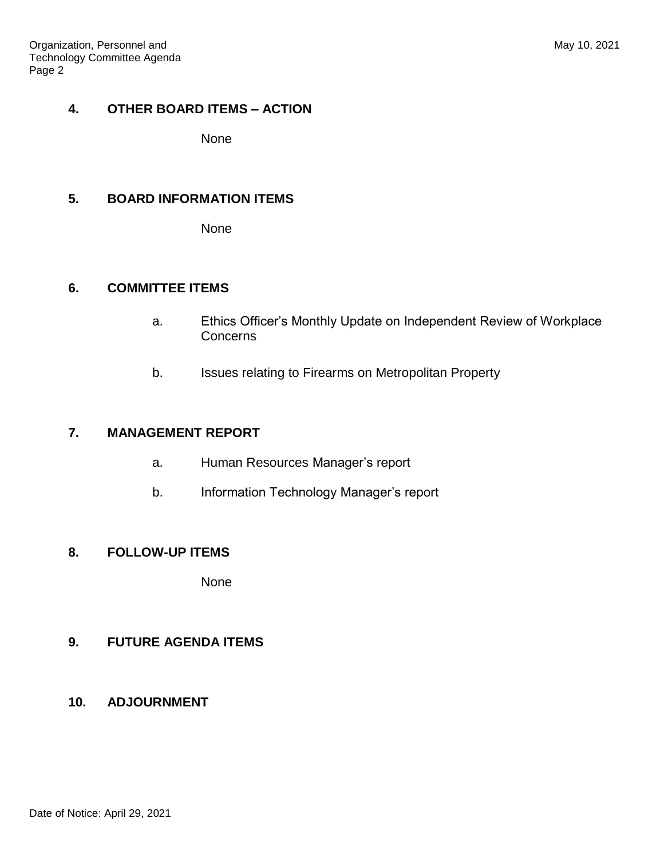#### **4. OTHER BOARD ITEMS – ACTION**

None

# **5. BOARD INFORMATION ITEMS**

None

# **6. COMMITTEE ITEMS**

- a. Ethics Officer's Monthly Update on Independent Review of Workplace **Concerns**
- b. Issues relating to Firearms on Metropolitan Property

## **7. MANAGEMENT REPORT**

- a. Human Resources Manager's report
- b. Information Technology Manager's report

## **8. FOLLOW-UP ITEMS**

None

# **9. FUTURE AGENDA ITEMS**

**10. ADJOURNMENT**